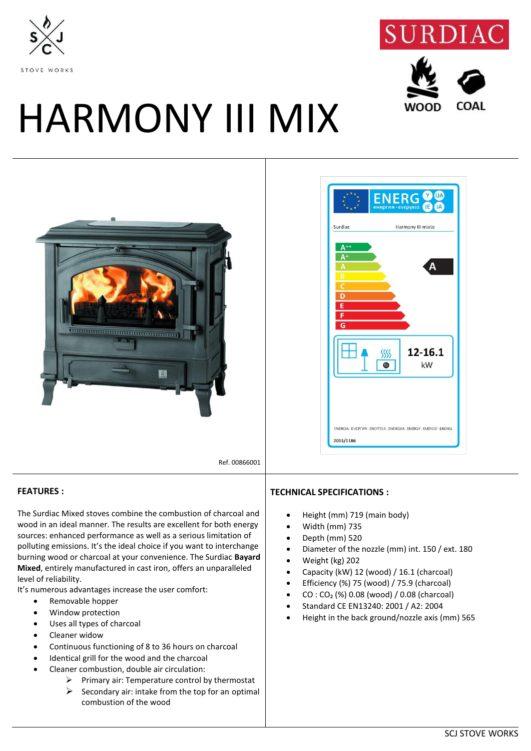



**WOOD** 

COAL

## HARMONY III MIX





Ref. 00866001

## **FEATURES :**

The Surdiac Mixed stoves combine the combustion of charcoal and wood in an ideal manner. The results are excellent for both energy sources: enhanced performance as well as a serious limitation of polluting emissions. It's the ideal choice if you want to interchange burning wood or charcoal at your convenience. The Surdiac **Bayard Mixed**, entirely manufactured in cast iron, offers an unparalleled level of reliability.

It's numerous advantages increase the user comfort:

- Removable hopper
- Window protection
- Uses all types of charcoal
- Cleaner widow
- Continuous functioning of 8 to 36 hours on charcoal
- Identical grill for the wood and the charcoal
- Cleaner combustion, double air circulation:
	- $\triangleright$  Primary air: Temperature control by thermostat
	- $\triangleright$  Secondary air: intake from the top for an optimal combustion of the wood

## **TECHNICAL SPECIFICATIONS :**

- Height (mm) 719 (main body)
- Width (mm) 735
- Depth (mm) 520
- Diameter of the nozzle (mm) int. 150 / ext. 180
- Weight (kg) 202
- Capacity (kW) 12 (wood) / 16.1 (charcoal)
- Efficiency (%) 75 (wood) / 75.9 (charcoal)
- $CO: CO<sub>2</sub>$  (%) 0.08 (wood) / 0.08 (charcoal)
- Standard CE EN13240: 2001 / A2: 2004
- Height in the back ground/nozzle axis (mm) 565